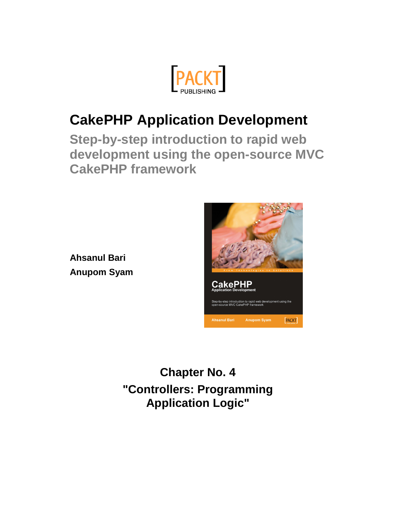

# **CakePHP Application Development**

**Step-by-step introduction to rapid web development using the open-source MVC CakePHP framework** 

**Ahsanul Bari Anupom Syam** 



**Chapter No. 4 "Controllers: Programming Application Logic"**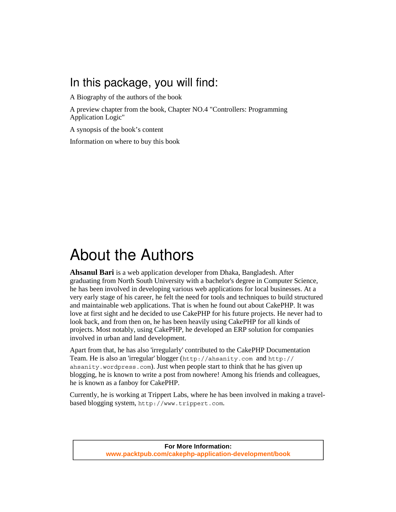### In this package, you will find:

A Biography of the authors of the book

A preview chapter from the book, Chapter NO.4 "Controllers: Programming Application Logic"

A synopsis of the book's content

Information on where to buy this book

# About the Authors

**Ahsanul Bari** is a web application developer from Dhaka, Bangladesh. After graduating from North South University with a bachelor's degree in Computer Science, he has been involved in developing various web applications for local businesses. At a very early stage of his career, he felt the need for tools and techniques to build structured and maintainable web applications. That is when he found out about CakePHP. It was love at first sight and he decided to use CakePHP for his future projects. He never had to look back, and from then on, he has been heavily using CakePHP for all kinds of projects. Most notably, using CakePHP, he developed an ERP solution for companies involved in urban and land development.

Apart from that, he has also 'irregularly' contributed to the CakePHP Documentation Team. He is also an 'irregular' blogger (http://ahsanity.com and http:// ahsanity.wordpress.com). Just when people start to think that he has given up blogging, he is known to write a post from nowhere! Among his friends and colleagues, he is known as a fanboy for CakePHP.

Currently, he is working at Trippert Labs, where he has been involved in making a travelbased blogging system, http://www.trippert.com.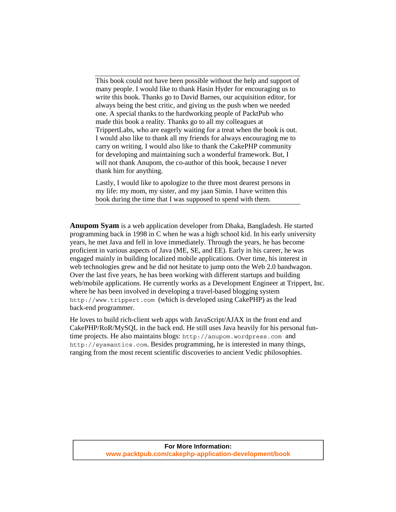This book could not have been possible without the help and support of many people. I would like to thank Hasin Hyder for encouraging us to write this book. Thanks go to David Barnes, our acquisition editor, for always being the best critic, and giving us the push when we needed one. A special thanks to the hardworking people of PacktPub who made this book a reality. Thanks go to all my colleagues at TrippertLabs, who are eagerly waiting for a treat when the book is out. I would also like to thank all my friends for always encouraging me to carry on writing. I would also like to thank the CakePHP community for developing and maintaining such a wonderful framework. But, I will not thank Anupom, the co-author of this book, because I never thank him for anything.

Lastly, I would like to apologize to the three most dearest persons in my life: my mom, my sister, and my jaan Simin. I have written this book during the time that I was supposed to spend with them.

**Anupom Syam** is a web application developer from Dhaka, Bangladesh. He started programming back in 1998 in C when he was a high school kid. In his early university years, he met Java and fell in love immediately. Through the years, he has become proficient in various aspects of Java (ME, SE, and EE). Early in his career, he was engaged mainly in building localized mobile applications. Over time, his interest in web technologies grew and he did not hesitate to jump onto the Web 2.0 bandwagon. Over the last five years, he has been working with different startups and building web/mobile applications. He currently works as a Development Engineer at Trippert, Inc. where he has been involved in developing a travel-based blogging system http://www.trippert.com (which is developed using CakePHP) as the lead back-end programmer.

He loves to build rich-client web apps with JavaScript/AJAX in the front end and CakePHP/RoR/MySQL in the back end. He still uses Java heavily for his personal funtime projects. He also maintains blogs: http://anupom.wordpress.com and http://syamantics.com. Besides programming, he is interested in many things, ranging from the most recent scientific discoveries to ancient Vedic philosophies.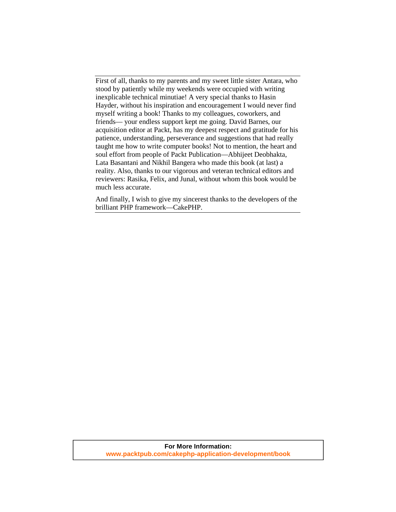First of all, thanks to my parents and my sweet little sister Antara, who stood by patiently while my weekends were occupied with writing inexplicable technical minutiae! A very special thanks to Hasin Hayder, without his inspiration and encouragement I would never find myself writing a book! Thanks to my colleagues, coworkers, and friends— your endless support kept me going. David Barnes, our acquisition editor at Packt, has my deepest respect and gratitude for his patience, understanding, perseverance and suggestions that had really taught me how to write computer books! Not to mention, the heart and soul effort from people of Packt Publication—Abhijeet Deobhakta, Lata Basantani and Nikhil Bangera who made this book (at last) a reality. Also, thanks to our vigorous and veteran technical editors and reviewers: Rasika, Felix, and Junal, without whom this book would be much less accurate.

And finally, I wish to give my sincerest thanks to the developers of the brilliant PHP framework—CakePHP.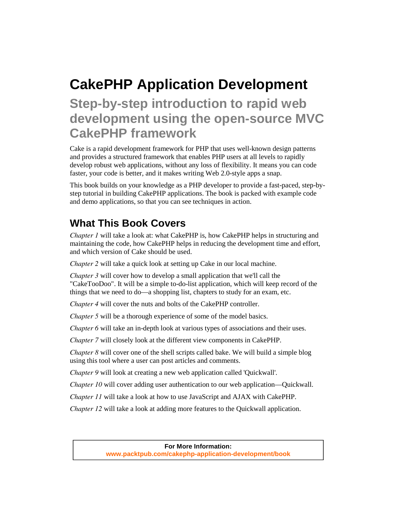# **CakePHP Application Development**

**Step-by-step introduction to rapid web development using the open-source MVC CakePHP framework** 

Cake is a rapid development framework for PHP that uses well-known design patterns and provides a structured framework that enables PHP users at all levels to rapidly develop robust web applications, without any loss of flexibility. It means you can code faster, your code is better, and it makes writing Web 2.0-style apps a snap.

This book builds on your knowledge as a PHP developer to provide a fast-paced, step-bystep tutorial in building CakePHP applications. The book is packed with example code and demo applications, so that you can see techniques in action.

### **What This Book Covers**

*Chapter 1* will take a look at: what CakePHP is, how CakePHP helps in structuring and maintaining the code, how CakePHP helps in reducing the development time and effort, and which version of Cake should be used.

*Chapter 2* will take a quick look at setting up Cake in our local machine.

*Chapter 3* will cover how to develop a small application that we'll call the "CakeTooDoo". It will be a simple to-do-list application, which will keep record of the things that we need to do—a shopping list, chapters to study for an exam, etc.

*Chapter 4* will cover the nuts and bolts of the CakePHP controller.

*Chapter 5* will be a thorough experience of some of the model basics.

*Chapter 6* will take an in-depth look at various types of associations and their uses.

*Chapter 7* will closely look at the different view components in CakePHP.

*Chapter 8* will cover one of the shell scripts called bake. We will build a simple blog using this tool where a user can post articles and comments.

*Chapter 9* will look at creating a new web application called 'Quickwall'.

*Chapter 10* will cover adding user authentication to our web application—Quickwall.

*Chapter 11* will take a look at how to use JavaScript and AJAX with CakePHP.

*Chapter 12* will take a look at adding more features to the Quickwall application.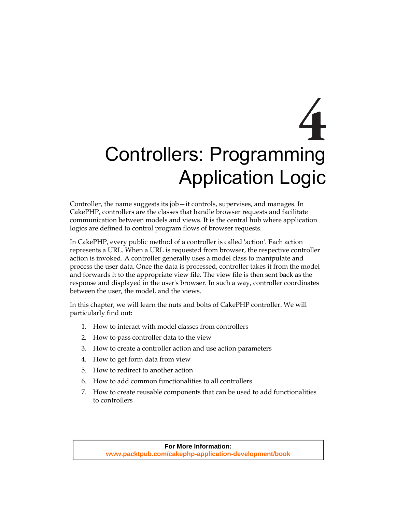# 4 Controllers: Programming Application Logic

 Controller, the name suggests its job—it controls, supervises, and manages. In CakePHP, controllers are the classes that handle browser requests and facilitate communication between models and views. It is the central hub where application logics are defined to control program flows of browser requests.

 In CakePHP, every public method of a controller is called 'action'. Each action represents a URL. When a URL is requested from browser, the respective controller action is invoked. A controller generally uses a model class to manipulate and process the user data. Once the data is processed, controller takes it from the model and forwards it to the appropriate view file. The view file is then sent back as the response and displayed in the user's browser. In such a way, controller coordinates between the user, the model, and the views.

In this chapter, we will learn the nuts and bolts of CakePHP controller. We will particularly find out:

- 1. How to interact with model classes from controllers
- 2. How to pass controller data to the view
- 3. How to create a controller action and use action parameters
- 4. How to get form data from view
- 5. How to redirect to another action
- 6. How to add common functionalities to all controllers
- 7. How to create reusable components that can be used to add functionalities to controllers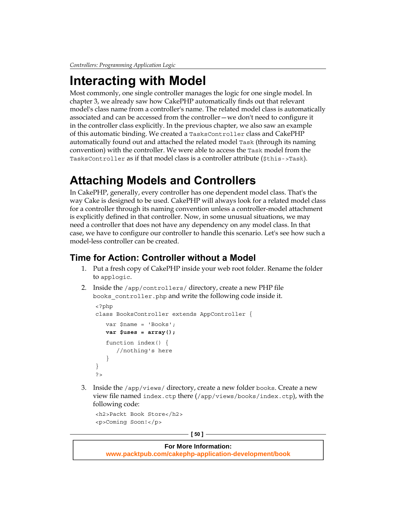# **Interacting with Model**

 Most commonly, one single controller manages the logic for one single model. In chapter 3, we already saw how CakePHP automatically finds out that relevant model's class name from a controller's name. The related model class is automatically associated and can be accessed from the controller — we don't need to configure it in the controller class explicitly. In the previous chapter, we also saw an example of this automatic binding. We created a TasksController class and CakePHP automatically found out and attached the related model Task (through its naming convention) with the controller. We were able to access the Task model from the TasksController as if that model class is a controller attribute (\$this->Task).

### **Attaching Models and Controllers**

In CakePHP, generally, every controller has one dependent model class. That's the way Cake is designed to be used. CakePHP will always look for a related model class for a controller through its naming convention unless a controller-model attachment is explicitly defined in that controller. Now, in some unusual situations, we may need a controller that does not have any dependency on any model class. In that case, we have to configure our controller to handle this scenario. Let's see how such a model-less controller can be created.

#### **Time for Action: Controller without a Model**

- 1. Put a fresh copy of CakePHP inside your web root folder. Rename the folder to applogic.
- 2. Inside the /app/controllers/ directory, create a new PHP file books\_controller.php and write the following code inside it.

```
 <?php
 class BooksController extends AppController {
    var $name = 'Books';
    var $uses = array(); function index() {
       //nothing's here
    }
 }
 ?>
```
3. Inside the /app/views/ directory, create a new folder books. Create a new view file named index.ctp there  $(\alpha_{\rm app}/\nu_{\rm iews}/\nu_{\rm jw})$  and  $\alpha_{\rm i}$ , ctp), with the following code:

```
 <h2>Packt Book Store</h2>
 <p>Coming Soon!</p>
```
**[ 50 ]**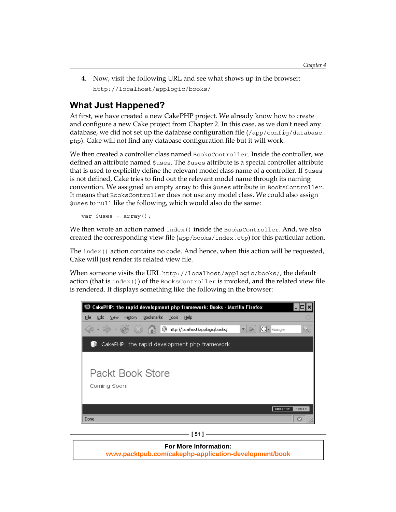4. Now, visit the following URL and see what shows up in the browser: http://localhost/applogic/books/

#### **What Just Happened?**

At first, we have created a new CakePHP project. We already know how to create and configure a new Cake project from Chapter 2. In this case, as we don't need any database, we did not set up the database configuration file  $\frac{\log p}{\cosh q}$  database. php). Cake will not find any database configuration file but it will work.

 We then created a controller class named BooksController. Inside the controller, we defined an attribute named \$uses. The \$uses attribute is a special controller attribute that is used to explicitly define the relevant model class name of a controller. If  $s$ uses is not defined, Cake tries to find out the relevant model name through its naming convention. We assigned an empty array to this suses attribute in BooksController. It means that BooksController does not use any model class. We could also assign \$uses to null like the following, which would also do the same:

 $var$   $guess = array()$ ;

We then wrote an action named index() inside the BooksController. And, we also created the corresponding view file  $(\text{app}/\text{books}/\text{index}.\text{ctp})$  for this particular action.

The  $index()$  action contains no code. And hence, when this action will be requested, Cake will just render its related view file.

When someone visits the URL http://localhost/applogic/books/, the default action (that is index()) of the BooksController is invoked, and the related view file is rendered. It displays something like the following in the browser:



**[ 51 ]**

**For More Information: [www.packtpub.com/cakephp-application-development/book](http://www.packtpub.com/cakephp-application-development/book)**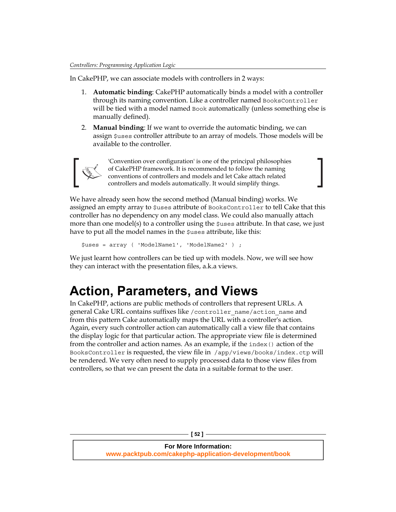In CakePHP, we can associate models with controllers in 2 ways:

- 1. Automatic binding: CakePHP automatically binds a model with a controller through its naming convention. Like a controller named BooksController will be tied with a model named Book automatically (unless something else is manually defined).
- 2. **Manual binding**: If we want to override the automatic binding, we can assign \$uses controller attribute to an array of models. Those models will be available to the controller.



'Convention over configuration' is one of the principal philosophies of CakePHP framework. It is recommended to follow the naming conventions of controllers and models and let Cake attach related controllers and models automatically. It would simplify things.

We have already seen how the second method (Manual binding) works. We assigned an empty array to \$uses attribute of BooksController to tell Cake that this controller has no dependency on any model class. We could also manually attach more than one model(s) to a controller using the suses attribute. In that case, we just have to put all the model names in the suses attribute, like this:

```
$uses = array ( 'ModelName1', 'ModelName2' ) ;
```
We just learnt how controllers can be tied up with models. Now, we will see how they can interact with the presentation files, a.k.a views.

## **Action, Parameters, and Views**

In CakePHP, actions are public methods of controllers that represent URLs. A general Cake URL contains suffixes like /controller\_name/action\_name and from this pattern Cake automatically maps the URL with a controller's action. Again, every such controller action can automatically call a view file that contains the display logic for that particular action. The appropriate view file is determined from the controller and action names. As an example, if the index() action of the BooksController is requested, the view file in /app/views/books/index.ctp will be rendered. We very often need to supply processed data to those view files from controllers, so that we can present the data in a suitable format to the user.

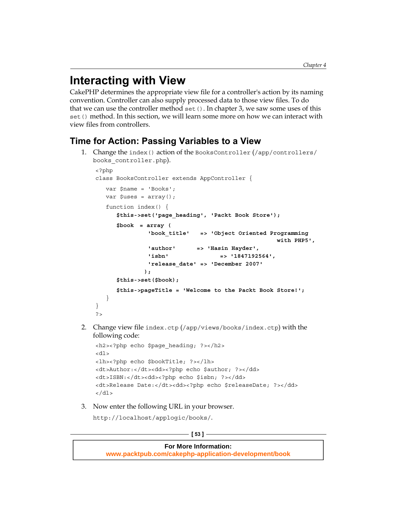### **Interacting with View**

CakePHP determines the appropriate view file for a controller's action by its naming convention. Controller can also supply processed data to those view files. To do that we can use the controller method  $set()$ . In chapter 3, we saw some uses of this set () method. In this section, we will learn some more on how we can interact with view files from controllers.

#### **Time for Action: Passing Variables to a View**

```
1. Change the index() action of the BooksController (/app/controllers/
   books_controller.php).
     <?php
     class BooksController extends AppController {
        var $name = 'Books';
       var $uses = array();
        function index() {
           $this->set('page_heading', 'Packt Book Store'); 
           $book = array (
                    'book_title' => 'Object Oriented Programming 
                                                          with PHP5',
                    'author' => 'Hasin Hayder',
                    'isbn' => '1847192564',
                    'release_date' => 'December 2007'
                   );
           $this->set($book); 
           $this->pageTitle = 'Welcome to the Packt Book Store!';
        }
     }
     ?>
```
2. Change view file index.ctp  $(\alpha_{\rm app}/\nu_{\rm i}$ ews/books/index.ctp) with the following code:

```
 <h2><?php echo $page_heading; ?></h2>
 <dl>
 <lh><?php echo $bookTitle; ?></lh>
 <dt>Author:</dt><dd><?php echo $author; ?></dd>
 <dt>ISBN:</dt><dd><?php echo $isbn; ?></dd>
 <dt>Release Date:</dt><dd><?php echo $releaseDate; ?></dd>
\langledl>
```
3. Now enter the following URL in your browser.

http://localhost/applogic/books/.

**[ 53 ]**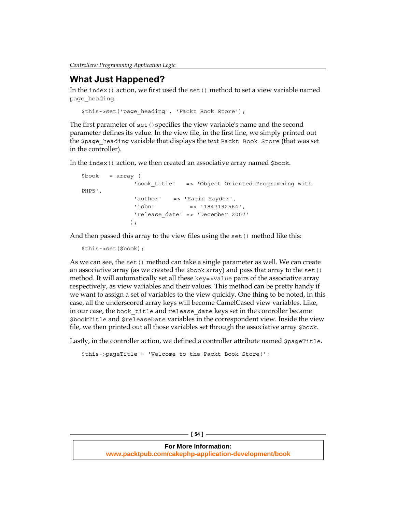*Controllers: Programming Application Logic*

#### **What Just Happened?**

In the index () action, we first used the set () method to set a view variable named page\_heading.

\$this->set('page\_heading', 'Packt Book Store');

The first parameter of set () specifies the view variable's name and the second parameter defines its value. In the view file, in the first line, we simply printed out the \$page heading variable that displays the text Packt Book Store (that was set in the controller).

In the index() action, we then created an associative array named \$book.

```
$book = array ( 'book_title' => 'Object Oriented Programming with 
PHP5',
             'author' => 'Hasin Hayder',
             'isbn' => '1847192564',
              'release_date' => 'December 2007'
 );
```
And then passed this array to the view files using the set () method like this:

```
$this->set($book);
```
As we can see, the set () method can take a single parameter as well. We can create an associative array (as we created the \$book array) and pass that array to the set () method. It will automatically set all these key=>value pairs of the associative array respectively, as view variables and their values. This method can be pretty handy if we want to assign a set of variables to the view quickly. One thing to be noted, in this case, all the underscored array keys will become CamelCased view variables. Like, in our case, the book title and release date keys set in the controller became \$bookTitle and \$releaseDate variables in the correspondent view. Inside the view file, we then printed out all those variables set through the associative array \$book.

Lastly, in the controller action, we defined a controller attribute named  $\epsilon_{\text{pageTitle}}$ .

\$this->pageTitle = 'Welcome to the Packt Book Store!';

#### **For More Information:**

**[www.packtpub.com/cakephp-application-development/book](http://www.packtpub.com/cakephp-application-development/book)**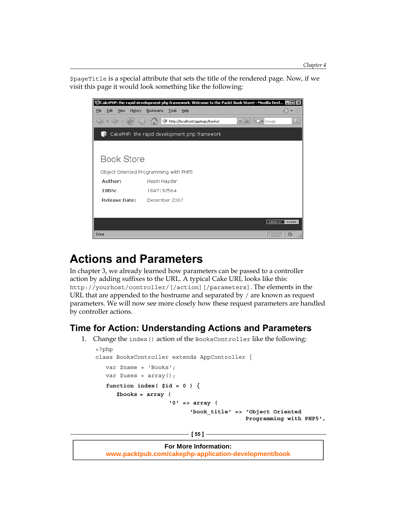\$pageTitle is a special attribute that sets the title of the rendered page. Now, if we visit this page it would look something like the following:



### **Actions and Parameters**

In chapter 3, we already learned how parameters can be passed to a controller action by adding suffixes to the URL. A typical Cake URL looks like this: http://yourhost/controller/[/action][/parameters]. The elements in the URL that are appended to the hostname and separated by / are known as request parameters. We will now see more closely how these request parameters are handled by controller actions.

#### **Time for Action: Understanding Actions and Parameters**

1. Change the index() action of the BooksController like the following:

```
 <?php
 class BooksController extends AppController {
    var $name = 'Books';
   var $uses = array();
    function index( $id = 0 ) {
       $books = array (
                       '0' => array (
                             'book_title' => 'Object Oriented 
                                              Programming with PHP5',
```
#### **For More Information:**

**[www.packtpub.com/cakephp-application-development/book](http://www.packtpub.com/cakephp-application-development/book)**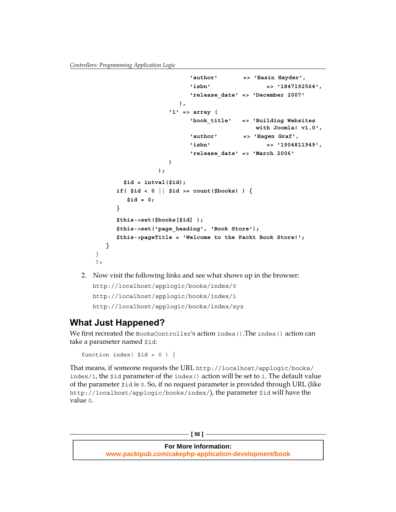*Controllers: Programming Application Logic*

```
 'author' => 'Hasin Hayder',
                           'isbn' => '1847192564',
                           'release_date' => 'December 2007'
 ),
                      '1' => array (
                           'book_title' => 'Building Websites 
                                           with Joomla! v1.0',
                           'author' => 'Hagen Graf',
                           'isbn' => '1904811949',
                           'release_date' => 'March 2006'
 )
 ); 
           $id = intval($id);
         if( $id < 0 || $id >= count($books) ) {
           $id = 0;
         } 
         $this->set($books[$id] );
         $this->set('page_heading', 'Book Store');
         $this->pageTitle = 'Welcome to the Packt Book Store!';
      }
    }
    ?>
```
2. Now visit the following links and see what shows up in the browser:

```
http://localhost/applogic/books/index/0
http://localhost/applogic/books/index/1
http://localhost/applogic/books/index/xyz
```
#### **What Just Happened?**

We first recreated the BooksController's action index(). The index() action can take a parameter named \$id:

```
function index($id = 0) {
```
That means, if someone requests the URL http://localhost/applogic/books/ index/1, the  $\sin$  parameter of the index() action will be set to 1. The default value of the parameter \$id is 0. So, if no request parameter is provided through URL (like http://localhost/applogic/books/index/), the parameter \$id will have the value 0.

**[ 56 ]**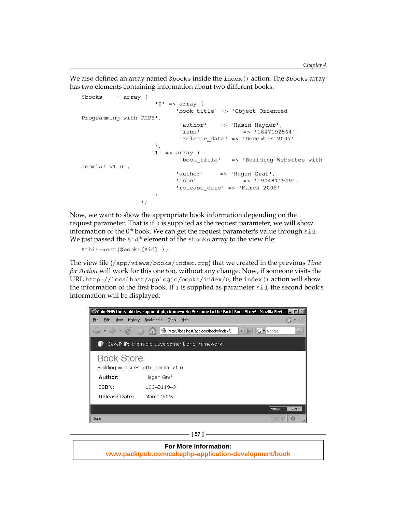We also defined an array named  $$books\ inside the\ index()$  action. The  $$books\ array$ has two elements containing information about two different books.

```
$books = array (
                  '0' => array (
                       'book title' => 'Object Oriented
Programming with PHP5',
                        'author' => 'Hasin Hayder',
                        'isbn' => '1847192564',
                        'release date' => 'December 2007'
\,), \,'1' => array (
                        'book title' => 'Building Websites with
Joomla! v1.0',
                       'author' => 'Hagen Graf',
                       'isbn' = > '1904811949',
                        'release_date' => 'March 2006'
 )
               );
```
Now, we want to show the appropriate book information depending on the request parameter. That is if 0 is supplied as the request parameter, we will show information of the 0<sup>th</sup> book. We can get the request parameter's value through \$id. We just passed the  $$id<sup>th</sup>$  element of the  $$books$  array to the view file:

\$this->set(\$books[\$id] );

The view file (/app/views/books/index.ctp) that we created in the previous *Time for Action* will work for this one too, without any change. Now, if someone visits the URL http://localhost/applogic/books/index/0, the index() action will show the information of the first book. If 1 is supplied as parameter  $\ddot{\varsigma}$  id, the second book's information will be displayed.



**[ 57 ]**

**For More Information: [www.packtpub.com/cakephp-application-development/book](http://www.packtpub.com/cakephp-application-development/book)**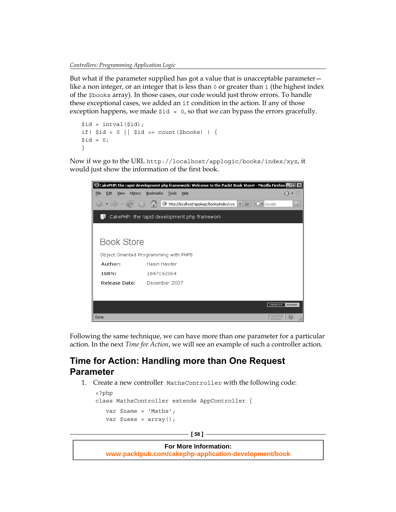*Controllers: Programming Application Logic*

But what if the parameter supplied has got a value that is unacceptable parameter like a non integer, or an integer that is less than  $\theta$  or greater than 1 (the highest index of the \$books array). In those cases, our code would just throw errors. To handle these exceptional cases, we added an if condition in the action. If any of those exception happens, we made  $\sin = 0$ , so that we can bypass the errors gracefully.

```
$id = interval ($id);if($id < 0 || $id >= count ($books) ) {
$id = 0;}
```
Now if we go to the URL http://localhost/applogic/books/index/xyz, it would just show the information of the first book.



Following the same technique, we can have more than one parameter for a particular action. In the next *Time for Action*, we will see an example of such a controller action.

#### **Time for Action: Handling more than One Request Parameter**

1. Create a new controller MathsController with the following code:

```
 <?php
 class MathsController extends AppController {
    var $name = 'Maths';
   var $uses = array();
```
**[ 58 ]**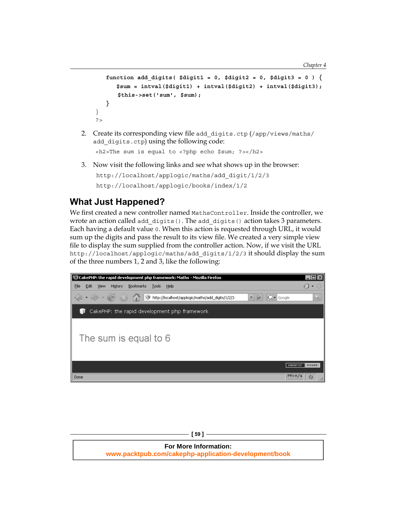```
 function add_digits( $digit1 = 0, $digit2 = 0, $digit3 = 0 ) {
       $sum = intval($digit1) + intval($digit2) + intval($digit3);
       $this->set('sum', $sum);
    }
 }
 ?>
```
2. Create its corresponding view file add digits.ctp  $/(app/views/maths/$ add digits.ctp) using the following code:

<h2>The sum is equal to <?php echo \$sum; ?></h2>

3. Now visit the following links and see what shows up in the browser:

```
 http://localhost/applogic/maths/add_digit/1/2/3
 http://localhost/applogic/books/index/1/2
```
#### **What Just Happened?**

We first created a new controller named MathsController. Inside the controller, we wrote an action called add  $\text{digits}($ ). The add  $\text{digits}($ ) action takes 3 parameters. Each having a default value 0. When this action is requested through URL, it would sum up the digits and pass the result to its view file. We created a very simple view file to display the sum supplied from the controller action. Now, if we visit the URL http://localhost/applogic/maths/add\_digits/1/2/3 it should display the sum of the three numbers 1, 2 and 3, like the following:



**[ 59 ]**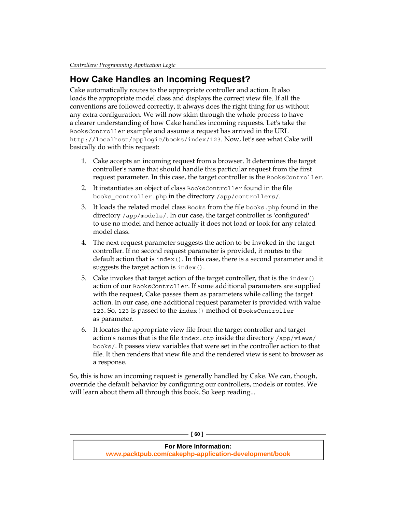#### **How Cake Handles an Incoming Request?**

Cake automatically routes to the appropriate controller and action. It also loads the appropriate model class and displays the correct view file. If all the conventions are followed correctly, it always does the right thing for us without any extra configuration. We will now skim through the whole process to have a clearer understanding of how Cake handles incoming requests. Let's take the BooksController example and assume a request has arrived in the URL http://localhost/applogic/books/index/123. Now, let's see what Cake will basically do with this request:

- 1. Cake accepts an incoming request from a browser. It determines the target controller's name that should handle this particular request from the first request parameter. In this case, the target controller is the BooksController.
- 2. It instantiates an object of class BooksController found in the file books\_controller.php in the directory /app/controllers/.
- 3. It loads the related model class Books from the file books .php found in the directory /app/models/. In our case, the target controller is 'configured' to use no model and hence actually it does not load or look for any related model class.
- 4. The next request parameter suggests the action to be invoked in the target controller. If no second request parameter is provided, it routes to the default action that is index(). In this case, there is a second parameter and it suggests the target action is  $index()$ .
- 5. Cake invokes that target action of the target controller, that is the index() action of our BooksController. If some additional parameters are supplied with the request, Cake passes them as parameters while calling the target action. In our case, one additional request parameter is provided with value 123. So, 123 is passed to the index() method of BooksController as parameter.
- 6. It locates the appropriate view file from the target controller and target action's names that is the file index.ctp inside the directory  $\langle$ app $\langle$ views $\rangle$ books/. It passes view variables that were set in the controller action to that file. It then renders that view file and the rendered view is sent to browser as a response.

So, this is how an incoming request is generally handled by Cake. We can, though, override the default behavior by configuring our controllers, models or routes. We will learn about them all through this book. So keep reading...

**[ 60 ]**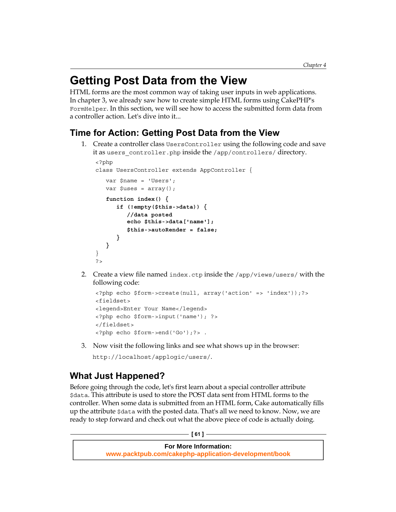### **Getting Post Data from the View**

HTML forms are the most common way of taking user inputs in web applications. In chapter 3, we already saw how to create simple HTML forms using CakePHP's FormHelper. In this section, we will see how to access the submitted form data from a controller action. Let's dive into it.. .

#### **Time for Action: Getting Post Data from the View**

1. Create a controller class UsersController using the following code and save it as users controller.php inside the /app/controllers/ directory.

```
 <?php
 class UsersController extends AppController {
    var $name = 'Users';
   var $uses = array();
    function index() {
       if (!empty($this->data)) {
          //data posted
          echo $this->data['name'];
          $this->autoRender = false;
       }
    }
 }
 ?>
```
2. Create a view file named index.ctp inside the  $/$ app/views/users/ with the following code:

```
 <?php echo $form->create(null, array('action' => 'index'));?>
 <fieldset>
 <legend>Enter Your Name</legend>
 <?php echo $form->input('name'); ?>
 </fieldset>
 <?php echo $form->end('Go');?> .
```
3. Now visit the following links and see what shows up in the browser:

```
http://localhost/applogic/users/.
```
#### **What Just Happened?**

Before going through the code, let's first learn about a special controller attribute \$data. This attribute is used to store the POST data sent from HTML forms to the controller. When some data is submitted from an HTML form, Cake automatically fills up the attribute \$data with the posted data. That's all we need to know. Now, we are ready to step forward and check out what the above piece of code is actually doing.

```
For More Information: 
www.packtpub.com/cakephp-application-development/book
                        [ 61 ]
```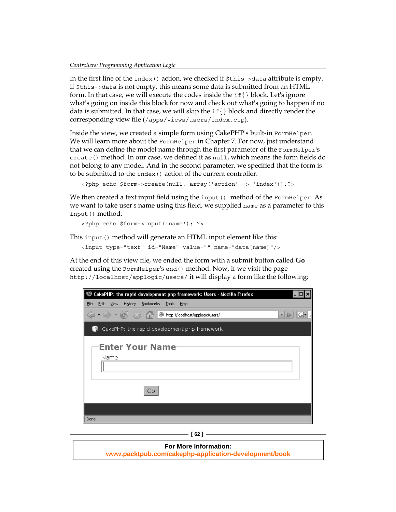*Controllers: Programming Application Logic*

In the first line of the index () action, we checked if  $$$ this->data attribute is empty. If \$this->data is not empty, this means some data is submitted from an HTML form. In that case, we will execute the codes inside the  $if\{\}\text{block.}$  Let's ignore what's going on inside this block for now and check out what's going to happen if no data is submitted. In that case, we will skip the  $if\{\}$  block and directly render the corresponding view file (/apps/views/users/index.ctp).

 Inside the view, we created a simple form using CakePHP's built-in FormHelper. We will learn more about the FormHelper in Chapter 7. For now, just understand that we can define the model name through the first parameter of the FormHelper's  $c$ reate() method. In our case, we defined it as  $null$ , which means the form fields do not belong to any model. And in the second parameter, we specified that the form is to be submitted to the index() action of the current controller.

<?php echo \$form->create(null, array('action' => 'index'));?>

We then created a text input field using the input  $()$  method of the FormHelper. As we want to take user's name using this field, we supplied name as a parameter to this input() method.

<?php echo \$form->input('name'); ?>

This input () method will generate an HTML input element like this:

<input type="text" id="Name" value="" name="data[name]"/>

At the end of this view file, we ended the form with a submit button called Go created using the FormHelper's end() method. Now, if we visit the page http://localhost/applogic/users/ it will display a form like the following:

| CakePHP: the rapid development php framework: Users - Mozilla Firefox                                                                                                                                                   |          |  |
|-------------------------------------------------------------------------------------------------------------------------------------------------------------------------------------------------------------------------|----------|--|
| Bookmarks Tools Help<br>Edit<br>History<br><b>File</b><br><b>View</b>                                                                                                                                                   |          |  |
| $\left\langle \Box$ + $\Box$ + $\left(\overline{C}^{j}\right)\right\rangle$ + $\left(\overline{C}^{j}\right)\left\langle \overline{R}\right\rangle$ + $\left[\overline{\S}^{j}\right]$ http://localhost/applogic/users/ | ×.<br>ID |  |
| CakePHP: the rapid development php framework<br>Ð                                                                                                                                                                       |          |  |
| <b>Enter Your Name</b><br>Name<br>Go                                                                                                                                                                                    |          |  |
| Done                                                                                                                                                                                                                    |          |  |

**For More Information: [www.packtpub.com/cakephp-application-development/book](http://www.packtpub.com/cakephp-application-development/book)**

**[ 62 ]**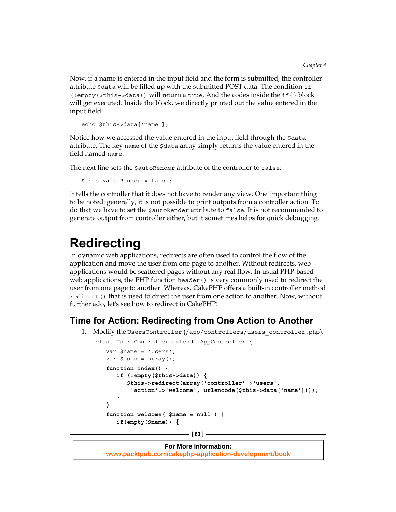Now, if a name is entered in the input field and the form is submitted, the controller attribute \$data will be filled up with the submitted POST data. The condition if (!empty( $$this$ ->data)) will return a true. And the codes inside the if{} block will get executed. Inside the block, we directly printed out the value entered in the input field:

```
echo $this->data['name'];
```
Notice how we accessed the value entered in the input field through the sdata attribute. The key name of the \$data array simply returns the value entered in the field named name.

The next line sets the  $\text{satorder}$  attribute of the controller to false:

```
$this->autoRender = false;
```
It tells the controller that it does not have to render any view. One important thing to be noted: generally, it is not possible to print outputs from a controller action. To do that we have to set the \$autoRender attribute to false. It is not recommended to generate output from controller either, but it sometimes helps for quick debugging.

# **Redirecting**

In dynamic web applications, redirects are often used to control the flow of the application and move the user from one page to another. Without redirects, web applications would be scattered pages without any real flow. In usual PHP-based web applications, the PHP function header() is very commonly used to redirect the user from one page to another. Whereas, CakePHP offers a built-in controller method redirect() that is used to direct the user from one action to another. Now, without further ado, let's see how to redirect in CakePHP!

#### **Time for Action: Redirecting from One Action to Another**

1. Modify the UsersController (/app/controllers/users\_controller.php).

```
 class UsersController extends AppController {
```

```
 var $name = 'Users';
 var $uses = array();
 function index() {
    if (!empty($this->data)) {
       $this->redirect(array('controller'=>'users', 
        'action'=>'welcome', urlencode($this->data['name'])));
    }
 } 
 function welcome( $name = null ) {
    if(empty($name)) {
```

```
- [ 63 ] -
```
#### **For More Information:**

**[www.packtpub.com/cakephp-application-development/book](http://www.packtpub.com/cakephp-application-development/book)**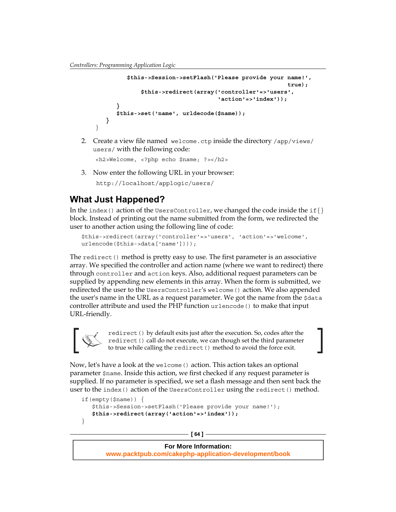*Controllers: Programming Application Logic*

```
 $this->Session->setFlash('Please provide your name!', 
true);
             $this->redirect(array('controller'=>'users', 
                               'action'=>'index'));
 }
        $this->set('name', urldecode($name));
      }
```
2. Create a view file named welcome.ctp inside the directory  $\langle$  app/views/ users/ with the following code:

<h2>Welcome, <?php echo \$name; ?></h2>

3. Now enter the following URL in your browser: http://localhost/applogic/users/

#### **What Just Happened?**

}

In the index () action of the UsersController, we changed the code inside the if  $\}$ block. Instead of printing out the name submitted from the form, we redirected the user to another action using the following line of code:

```
$this->redirect(array('controller'=>'users', 'action'=>'welcome', 
urlencode($this->data['name'])));
```
The redirect() method is pretty easy to use. The first parameter is an associative array. We specified the controller and action name (where we want to redirect) there through controller and action keys. Also, additional request parameters can be supplied by appending new elements in this array. When the form is submitted, we redirected the user to the UsersController's welcome() action. We also appended the user's name in the URL as a request parameter. We got the name from the \$data controller attribute and used the PHP function urlencode() to make that input URL-friendly.



redirect() by default exits just after the execution. So, codes after the redirect() call do not execute, we can though set the third parameter to true while calling the redirect() method to avoid the force exit.

Now, let's have a look at the welcome() action. This action takes an optional parameter \$name. Inside this action, we first checked if any request parameter is supplied. If no parameter is specified, we set a flash message and then sent back the user to the index() action of the UsersController using the redirect() method.

```
if(empty($name)) {
    $this->Session->setFlash('Please provide your name!');
    $this->redirect(array('action'=>'index'));
}
```
 $-$  [ 64 ]  $-$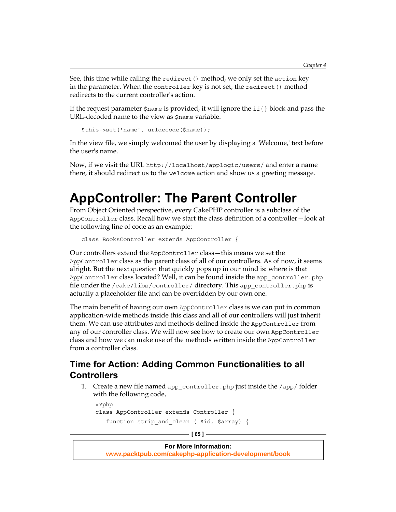See, this time while calling the redirect() method, we only set the action key in the parameter. When the controller key is not set, the redirect() method redirects to the current controller's action.

If the request parameter  $\sin m$  is provided, it will ignore the if { } block and pass the URL-decoded name to the view as \$name variable.

```
$this->set('name', urldecode($name));
```
In the view file, we simply welcomed the user by displaying a 'Welcome,' text before the user's name.

Now, if we visit the URL http://localhost/applogic/users/ and enter a name there, it should redirect us to the welcome action and show us a greeting message.

### **AppController: The Parent Controller**

From Object Oriented perspective, every CakePHP controller is a subclass of the AppController class. Recall how we start the class definition of a controller – look at the following line of code as an example:

```
class BooksController extends AppController {
```
Our controllers extend the AppController class—this means we set the AppController class as the parent class of all of our controllers. As of now, it seems alright. But the next question that quickly pops up in our mind is: where is that AppController class located? Well, it can be found inside the app\_controller.php file under the /cake/libs/controller/ directory. This app\_controller.php is actually a placeholder file and can be overridden by our own one.

The main benefit of having our own AppController class is we can put in common application-wide methods inside this class and all of our controllers will just inherit them. We can use attributes and methods defined inside the AppController from any of our controller class. We will now see how to create our own AppController class and how we can make use of the methods written inside the AppController from a controller class.

#### **Time for Action: Adding Common Functionalities to all Controllers**

1. Create a new file named app\_controller.php just inside the  $/app/$  folder with the following code,

```
 <?php
 class AppController extends Controller {
   function strip and clean ( $id, $array) {
```
**[ 65 ]**

```
For More Information: 
www.packtpub.com/cakephp-application-development/book
```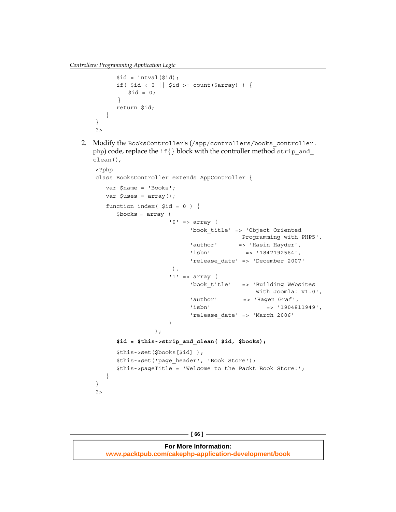*Controllers: Programming Application Logic*

}

```
$id = interval ($id$);if($id < 0 || $id >= count(Sarray) ) {
          $id = 0; }
       return $id;
    }
 ?>
```
2. Modify the BooksController's (/app/controllers/books\_controller. php) code, replace the if  $\{\}$  block with the controller method strip and clean(),

```
 <?php
    class BooksController extends AppController {
       var $name = 'Books';
      var $uses = array();
      function index($id = 0) {
         $books = array (
                       '0' => array (
                            'book title' => 'Object Oriented
                                          Programming with PHP5',
                            'author' => 'Hasin Hayder',
                             'isbn' => '1847192564',
                             'release_date' => 'December 2007'
\,), \,'1' => array (
                             'book_title' => 'Building Websites 
                                              with Joomla! v1.0',
                            'author' => 'Hagen Graf',
                            'isbn' = '1904811949',
                             'release_date' => 'March 2006'
)); \sum_{i=1}^{n} $id = $this->strip_and_clean( $id, $books); $this->set($books[$id] );
         $this->set('page_header', 'Book Store');
         $this->pageTitle = 'Welcome to the Packt Book Store!';
       }
    }
    ?>
```
**[ 66 ]**

#### **For More Information:**

**[www.packtpub.com/cakephp-application-development/book](http://www.packtpub.com/cakephp-application-development/book)**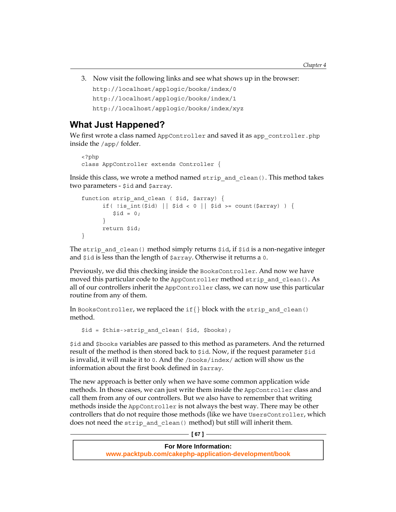3. Now visit the following links and see what shows up in the browser:

```
http://localhost/applogic/books/index/0
http://localhost/applogic/books/index/1
http://localhost/applogic/books/index/xyz
```
#### **What Just Happened?**

We first wrote a class named AppController and saved it as app\_controller.php inside the /app/ folder.

```
<?php
class AppController extends Controller {
```
Inside this class, we wrote a method named strip and clean(). This method takes two parameters - \$id and \$array.

```
function strip and clean ( $id, $array) {
       if( !is_int($id) || $id < 0 || $id >= count($array) ) {
         $id = 0; }
      return $id;
}
```
The strip and clean() method simply returns  $\ddot{\varsigma}$  id, if  $\ddot{\varsigma}$  id is a non-negative integer and \$id is less than the length of \$array. Otherwise it returns a 0.

Previously, we did this checking inside the BooksController. And now we have moved this particular code to the AppController method strip and clean(). As all of our controllers inherit the AppController class, we can now use this particular routine from any of them.

In BooksController, we replaced the if  $\{\}$  block with the strip and clean() method.

\$id = \$this->strip\_and\_clean( \$id, \$books);

\$id and \$books variables are passed to this method as parameters. And the returned result of the method is then stored back to \$id. Now, if the request parameter \$id is invalid, it will make it to 0. And the /books/index/ action will show us the information about the first book defined in  $\frac{1}{2}$  array.

The new approach is better only when we have some common application wide methods. In those cases, we can just write them inside the AppController class and call them from any of our controllers. But we also have to remember that writing methods inside the AppController is not always the best way. There may be other controllers that do not require those methods (like we have UsersController, which does not need the strip and clean() method) but still will inherit them.

> **For More Information: [www.packtpub.com/cakephp-application-development/book](http://www.packtpub.com/cakephp-application-development/book)**

 $-[67]$  –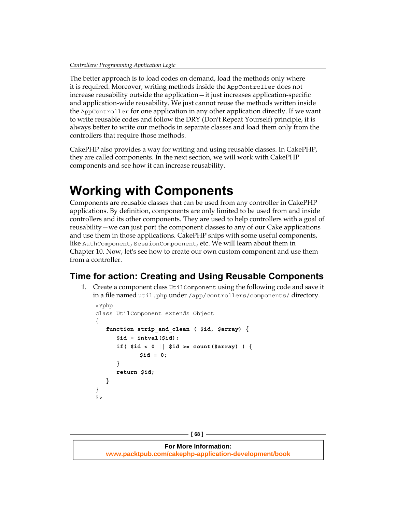The better approach is to load codes on demand, load the methods only where it is required. Moreover, writing methods inside the AppController does not increase reusability outside the application—it just increases application-specific and application-wide reusability. We just cannot reuse the methods written inside the AppController for one application in any other application directly. If we want to write reusable codes and follow the DRY (Don't Repeat Yourself) principle, it is always better to write our methods in separate classes and load them only from the controllers that require those methods.

CakePHP also provides a way for writing and using reusable classes. In CakePHP, they are called components. In the next section, we will work with CakePHP components and see how it can increase reusability.

# **Working with Components**

Components are reusable classes that can be used from any controller in CakePHP applications. By definition, components are only limited to be used from and inside controllers and its other components. They are used to help controllers with a goal of reusability—we can just port the component classes to any of our Cake applications and use them in those applications. CakePHP ships with some useful components, like AuthComponent, SessionCompoenent, etc. We will learn about them in Chapter 10. Now, let's see how to create our own custom component and use them from a controller.

#### **Time for action: Creating and Using Reusable Components**

1. Create a component class UtilComponent using the following code and save it in a file named util.php under /app/controllers/components/ directory.

```
 <?php
     class UtilComponent extends Object
 {
        function strip_and_clean ( $id, $array) {
           $id = intval($id);
           if( $id < 0 || $id >= count($array) ) {
                  $id = 0;
           }
           return $id;
        }
     }
     ?>
```
**[ 68 ]**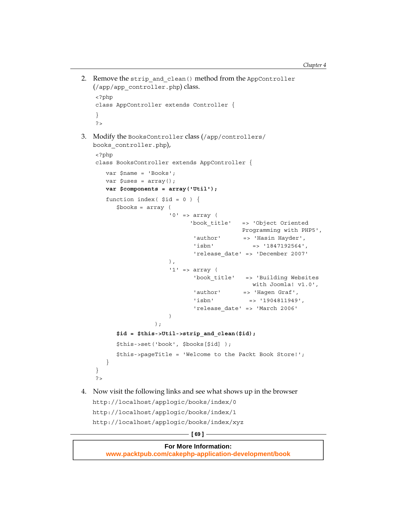```
2. Remove the strip and clean() method from the AppController
   (/app/app_controller.php) class.
    <?php
    class AppController extends Controller {
    }
    ?>
3. Modify the BooksController class (/app/controllers/
   books_controller.php),
    <?php
    class BooksController extends AppController {
       var $name = 'Books';
       var $uses = array();
       var $components = array('Util');function index($id = 0) {
          $books = array (
                        '0' => array (
                             'book title' => 'Object Oriented
                                            Programming with PHP5',
                              'author' => 'Hasin Hayder',
                                'isbn' => '1847192564',
                               'release_date' => 'December 2007'
\,), \,'1' => array (
                              'book title' => 'Building Websites
                                               with Joomla! v1.0',
                              'author' => 'Hagen Graf',
                               'isbn' => '1904811949',
                               'release_date' => 'March 2006'
) ); 
          $id = $this->Util->strip_and_clean($id); $this->set('book', $books[$id] ); 
          $this->pageTitle = 'Welcome to the Packt Book Store!';
       }
    }
    ?>
4. Now visit the following links and see what shows up in the browser
```
http://localhost/applogic/books/index/0 http://localhost/applogic/books/index/1 http://localhost/applogic/books/index/xyz

> **For More Information: [www.packtpub.com/cakephp-application-development/book](http://www.packtpub.com/cakephp-application-development/book)**

**[ 69 ]**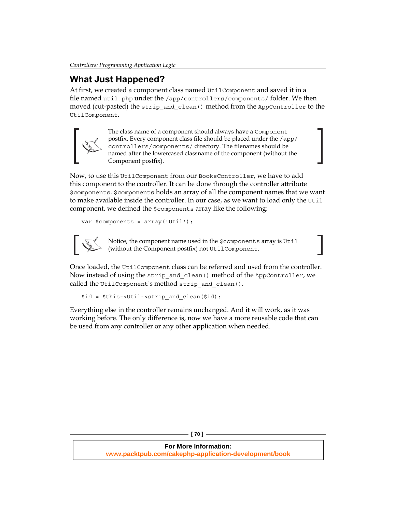#### **What Just Happened?**

At first, we created a component class named  $U$ tilComponent and saved it in a file named util.php under the /app/controllers/components/ folder. We then moved (cut-pasted) the strip and clean() method from the AppController to the UtilComponent.



The class name of a component should always have a Component postfix. Every component class file should be placed under the /app/ controllers/components/directory. The filenames should be named after the lowercased classname of the component (without the Component postfix).

Now, to use this UtilComponent from our BooksController, we have to add this component to the controller. It can be done through the controller attribute \$components. \$components holds an array of all the component names that we want to make available inside the controller. In our case, as we want to load only the Util component, we defined the  $\frac{1}{2}$  components array like the following:

```
var $components = array('Util');
```


Notice, the component name used in the \$components array is Util (without the Component postfix) not UtilComponent.

Once loaded, the UtilComponent class can be referred and used from the controller. Now instead of using the strip\_and\_clean() method of the AppController, we called the UtilComponent's method strip and clean().

\$id = \$this->Util->strip\_and\_clean(\$id);

Everything else in the controller remains unchanged. And it will work, as it was working before. The only difference is, now we have a more reusable code that can be used from any controller or any other application when needed.

**For More Information:** 

**[www.packtpub.com/cakephp-application-development/book](http://www.packtpub.com/cakephp-application-development/book)**